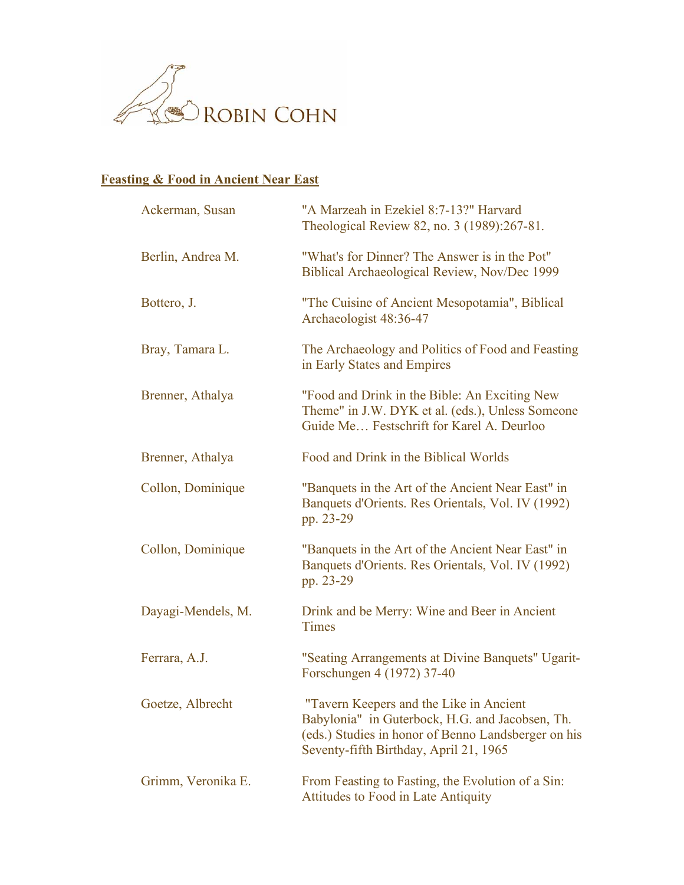

## **Feasting & Food in Ancient Near East**

| Ackerman, Susan    | "A Marzeah in Ezekiel 8:7-13?" Harvard<br>Theological Review 82, no. 3 (1989):267-81.                                                                                                       |
|--------------------|---------------------------------------------------------------------------------------------------------------------------------------------------------------------------------------------|
| Berlin, Andrea M.  | "What's for Dinner? The Answer is in the Pot"<br>Biblical Archaeological Review, Nov/Dec 1999                                                                                               |
| Bottero, J.        | "The Cuisine of Ancient Mesopotamia", Biblical<br>Archaeologist 48:36-47                                                                                                                    |
| Bray, Tamara L.    | The Archaeology and Politics of Food and Feasting<br>in Early States and Empires                                                                                                            |
| Brenner, Athalya   | "Food and Drink in the Bible: An Exciting New<br>Theme" in J.W. DYK et al. (eds.), Unless Someone<br>Guide Me Festschrift for Karel A. Deurloo                                              |
| Brenner, Athalya   | Food and Drink in the Biblical Worlds                                                                                                                                                       |
| Collon, Dominique  | "Banquets in the Art of the Ancient Near East" in<br>Banquets d'Orients. Res Orientals, Vol. IV (1992)<br>pp. 23-29                                                                         |
| Collon, Dominique  | "Banquets in the Art of the Ancient Near East" in<br>Banquets d'Orients. Res Orientals, Vol. IV (1992)<br>pp. 23-29                                                                         |
| Dayagi-Mendels, M. | Drink and be Merry: Wine and Beer in Ancient<br>Times                                                                                                                                       |
| Ferrara, A.J.      | "Seating Arrangements at Divine Banquets" Ugarit-<br>Forschungen 4 (1972) 37-40                                                                                                             |
| Goetze, Albrecht   | "Tavern Keepers and the Like in Ancient<br>Babylonia" in Guterbock, H.G. and Jacobsen, Th.<br>(eds.) Studies in honor of Benno Landsberger on his<br>Seventy-fifth Birthday, April 21, 1965 |
| Grimm, Veronika E. | From Feasting to Fasting, the Evolution of a Sin:<br><b>Attitudes to Food in Late Antiquity</b>                                                                                             |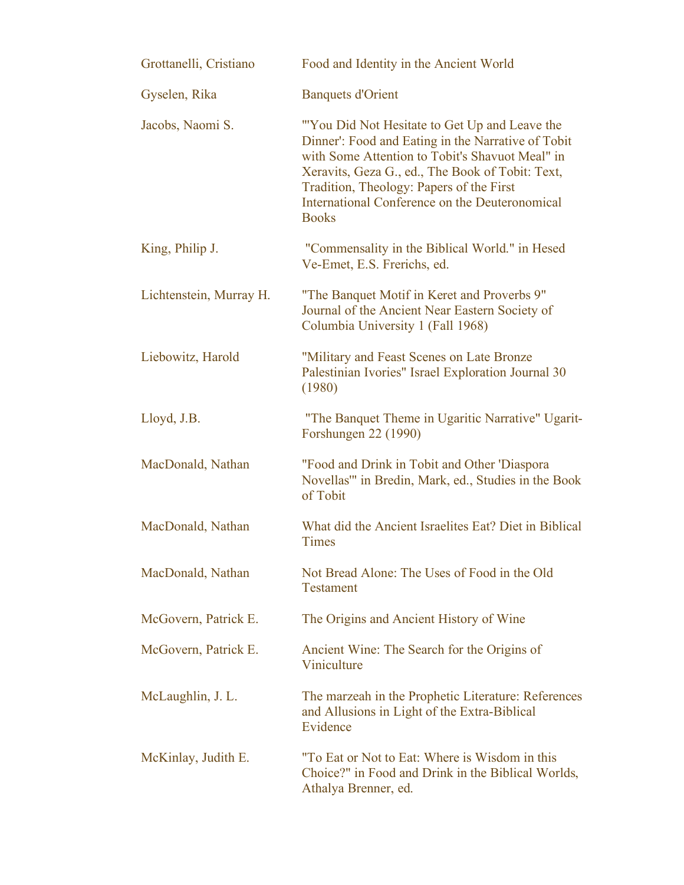| Grottanelli, Cristiano  | Food and Identity in the Ancient World                                                                                                                                                                                                                                                                                    |
|-------------------------|---------------------------------------------------------------------------------------------------------------------------------------------------------------------------------------------------------------------------------------------------------------------------------------------------------------------------|
| Gyselen, Rika           | <b>Banquets d'Orient</b>                                                                                                                                                                                                                                                                                                  |
| Jacobs, Naomi S.        | "'You Did Not Hesitate to Get Up and Leave the<br>Dinner': Food and Eating in the Narrative of Tobit<br>with Some Attention to Tobit's Shavuot Meal" in<br>Xeravits, Geza G., ed., The Book of Tobit: Text,<br>Tradition, Theology: Papers of the First<br>International Conference on the Deuteronomical<br><b>Books</b> |
| King, Philip J.         | "Commensality in the Biblical World." in Hesed<br>Ve-Emet, E.S. Frerichs, ed.                                                                                                                                                                                                                                             |
| Lichtenstein, Murray H. | "The Banquet Motif in Keret and Proverbs 9"<br>Journal of the Ancient Near Eastern Society of<br>Columbia University 1 (Fall 1968)                                                                                                                                                                                        |
| Liebowitz, Harold       | "Military and Feast Scenes on Late Bronze<br>Palestinian Ivories" Israel Exploration Journal 30<br>(1980)                                                                                                                                                                                                                 |
| Lloyd, J.B.             | "The Banquet Theme in Ugaritic Narrative" Ugarit-<br>Forshungen 22 (1990)                                                                                                                                                                                                                                                 |
| MacDonald, Nathan       | "Food and Drink in Tobit and Other 'Diaspora<br>Novellas'" in Bredin, Mark, ed., Studies in the Book<br>of Tobit                                                                                                                                                                                                          |
| MacDonald, Nathan       | What did the Ancient Israelites Eat? Diet in Biblical<br><b>Times</b>                                                                                                                                                                                                                                                     |
| MacDonald, Nathan       | Not Bread Alone: The Uses of Food in the Old<br><b>Testament</b>                                                                                                                                                                                                                                                          |
| McGovern, Patrick E.    | The Origins and Ancient History of Wine                                                                                                                                                                                                                                                                                   |
| McGovern, Patrick E.    | Ancient Wine: The Search for the Origins of<br>Viniculture                                                                                                                                                                                                                                                                |
| McLaughlin, J. L.       | The marzeah in the Prophetic Literature: References<br>and Allusions in Light of the Extra-Biblical<br>Evidence                                                                                                                                                                                                           |
| McKinlay, Judith E.     | "To Eat or Not to Eat: Where is Wisdom in this<br>Choice?" in Food and Drink in the Biblical Worlds,<br>Athalya Brenner, ed.                                                                                                                                                                                              |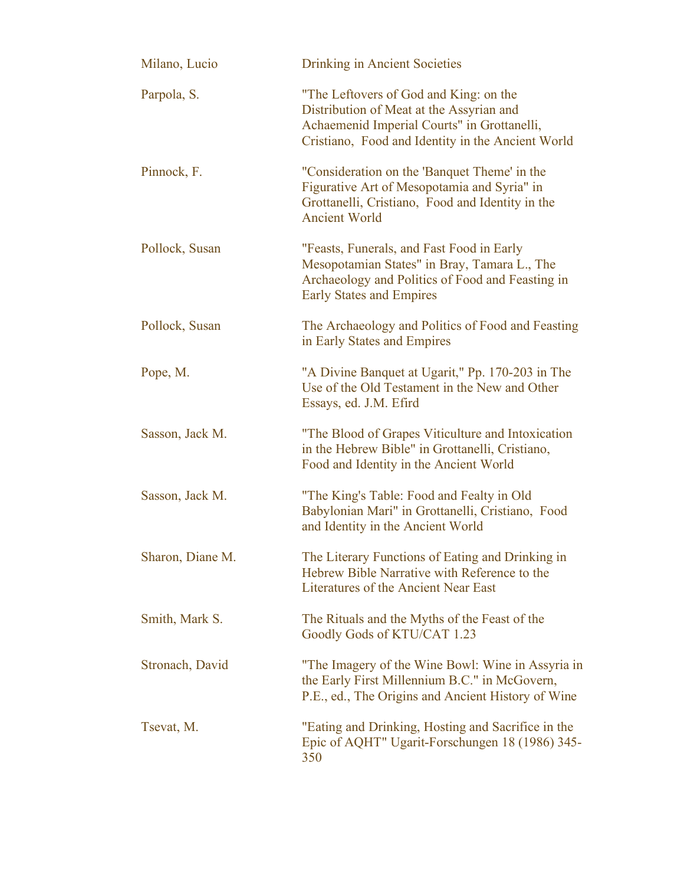| Milano, Lucio    | <b>Drinking in Ancient Societies</b>                                                                                                                                                   |
|------------------|----------------------------------------------------------------------------------------------------------------------------------------------------------------------------------------|
| Parpola, S.      | "The Leftovers of God and King: on the<br>Distribution of Meat at the Assyrian and<br>Achaemenid Imperial Courts" in Grottanelli,<br>Cristiano, Food and Identity in the Ancient World |
| Pinnock, F.      | "Consideration on the 'Banquet Theme' in the<br>Figurative Art of Mesopotamia and Syria" in<br>Grottanelli, Cristiano, Food and Identity in the<br><b>Ancient World</b>                |
| Pollock, Susan   | "Feasts, Funerals, and Fast Food in Early<br>Mesopotamian States" in Bray, Tamara L., The<br>Archaeology and Politics of Food and Feasting in<br><b>Early States and Empires</b>       |
| Pollock, Susan   | The Archaeology and Politics of Food and Feasting<br>in Early States and Empires                                                                                                       |
| Pope, M.         | "A Divine Banquet at Ugarit," Pp. 170-203 in The<br>Use of the Old Testament in the New and Other<br>Essays, ed. J.M. Efird                                                            |
| Sasson, Jack M.  | "The Blood of Grapes Viticulture and Intoxication<br>in the Hebrew Bible" in Grottanelli, Cristiano,<br>Food and Identity in the Ancient World                                         |
| Sasson, Jack M.  | "The King's Table: Food and Fealty in Old<br>Babylonian Mari" in Grottanelli, Cristiano, Food<br>and Identity in the Ancient World                                                     |
| Sharon, Diane M. | The Literary Functions of Eating and Drinking in<br>Hebrew Bible Narrative with Reference to the<br><b>Literatures of the Ancient Near East</b>                                        |
| Smith, Mark S.   | The Rituals and the Myths of the Feast of the<br>Goodly Gods of KTU/CAT 1.23                                                                                                           |
| Stronach, David  | "The Imagery of the Wine Bowl: Wine in Assyria in<br>the Early First Millennium B.C." in McGovern,<br>P.E., ed., The Origins and Ancient History of Wine                               |
| Tsevat, M.       | "Eating and Drinking, Hosting and Sacrifice in the<br>Epic of AQHT" Ugarit-Forschungen 18 (1986) 345-<br>350                                                                           |